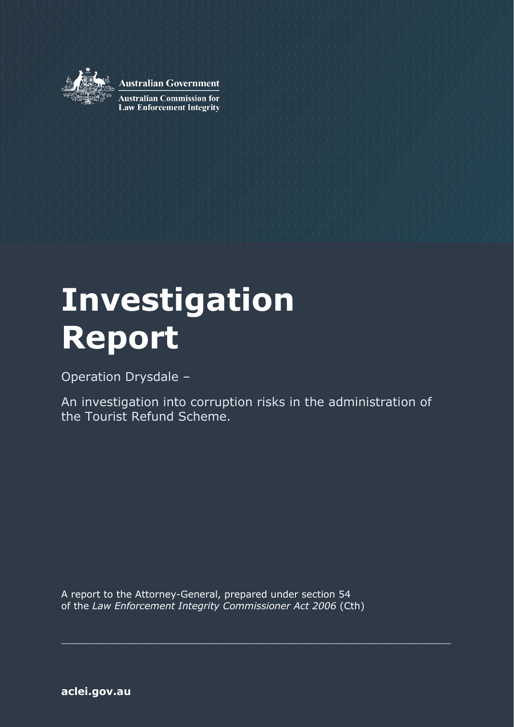

**Australian Government** 

**Australian Commission for Law Enforcement Integrity** 

# **Investigation Report**

Operation Drysdale –

An investigation into corruption risks in the administration of the Tourist Refund Scheme.

A report to the Attorney-General, prepared under section 54 of the *Law Enforcement Integrity Commissioner Act 2006* (Cth)

\_\_\_\_\_\_\_\_\_\_\_\_\_\_\_\_\_\_\_\_\_\_\_\_\_\_\_\_\_\_\_\_\_\_\_\_\_\_\_\_\_\_\_\_\_\_\_\_\_\_\_\_\_\_\_\_\_\_\_\_\_\_\_\_\_\_\_\_\_\_\_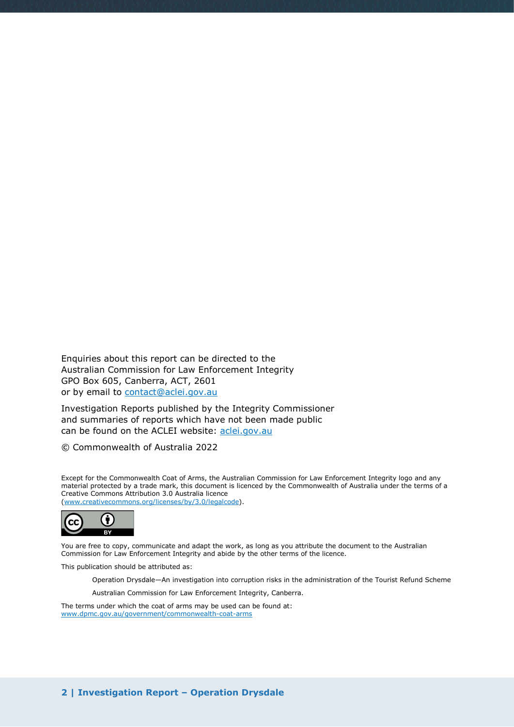Enquiries about this report can be directed to the Australian Commission for Law Enforcement Integrity GPO Box 605, Canberra, ACT, 2601 or by email to [contact@aclei.gov.au](mailto:contact@aclei.gov.au) 

Investigation Reports published by the Integrity Commissioner and summaries of reports which have not been made public can be found on the ACLEI website: [aclei.gov.au](http://www.aclei.gov.au/)

© Commonwealth of Australia 2022

Except for the Commonwealth Coat of Arms, the Australian Commission for Law Enforcement Integrity logo and any material protected by a trade mark, this document is licenced by the Commonwealth of Australia under the terms of a Creative Commons Attribution 3.0 Australia licence [\(www.creativecommons.org/licenses/by/3.0/legalcode\)](http://www.creativecommons.org/licenses/by/3.0/legalcode).



You are free to copy, communicate and adapt the work, as long as you attribute the document to the Australian Commission for Law Enforcement Integrity and abide by the other terms of the licence.

This publication should be attributed as:

Operation Drysdale—An investigation into corruption risks in the administration of the Tourist Refund Scheme

Australian Commission for Law Enforcement Integrity, Canberra.

The terms under which the coat of arms may be used can be found at: [www.dpmc.gov.au/government/commonwealth-coat-arms](http://www.dpmc.gov.au/government/commonwealth-coat-arms)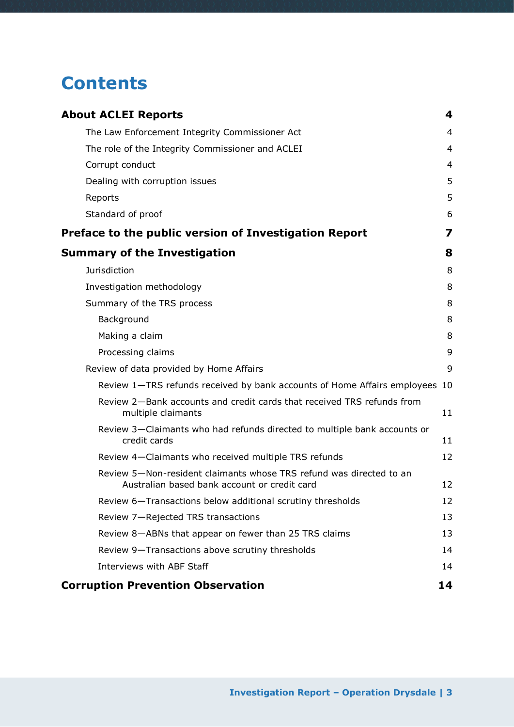# **Contents**

| <b>About ACLEI Reports</b>                                                                                          | 4  |
|---------------------------------------------------------------------------------------------------------------------|----|
| The Law Enforcement Integrity Commissioner Act                                                                      | 4  |
| The role of the Integrity Commissioner and ACLEI                                                                    | 4  |
| Corrupt conduct                                                                                                     | 4  |
| Dealing with corruption issues                                                                                      | 5  |
| Reports                                                                                                             | 5  |
| Standard of proof                                                                                                   | 6  |
| Preface to the public version of Investigation Report                                                               | 7  |
| <b>Summary of the Investigation</b>                                                                                 | 8  |
| <b>Jurisdiction</b>                                                                                                 | 8  |
| Investigation methodology                                                                                           | 8  |
| Summary of the TRS process                                                                                          | 8  |
| Background                                                                                                          | 8  |
| Making a claim                                                                                                      | 8  |
| Processing claims                                                                                                   | 9  |
| Review of data provided by Home Affairs                                                                             | 9  |
| Review 1-TRS refunds received by bank accounts of Home Affairs employees 10                                         |    |
| Review 2-Bank accounts and credit cards that received TRS refunds from<br>multiple claimants                        | 11 |
| Review 3-Claimants who had refunds directed to multiple bank accounts or<br>credit cards                            | 11 |
| Review 4-Claimants who received multiple TRS refunds                                                                | 12 |
| Review 5-Non-resident claimants whose TRS refund was directed to an<br>Australian based bank account or credit card | 12 |
| Review 6-Transactions below additional scrutiny thresholds                                                          | 12 |
| Review 7-Rejected TRS transactions                                                                                  | 13 |
| Review 8-ABNs that appear on fewer than 25 TRS claims                                                               | 13 |
| Review 9-Transactions above scrutiny thresholds                                                                     | 14 |
| Interviews with ABF Staff                                                                                           | 14 |
| <b>Corruption Prevention Observation</b>                                                                            | 14 |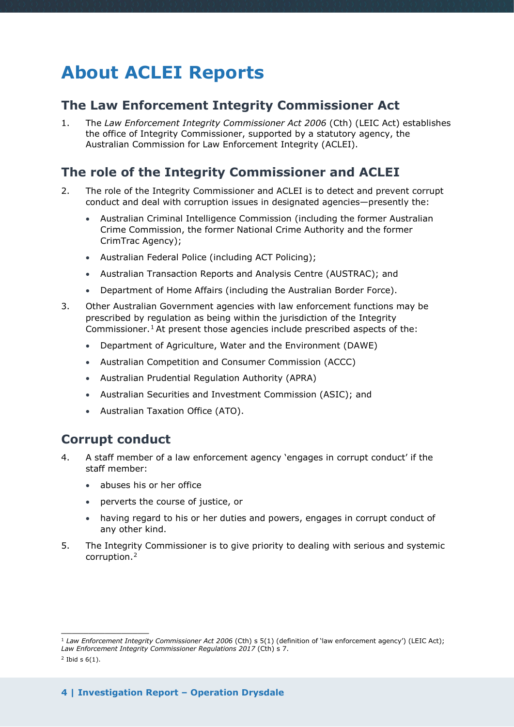# <span id="page-3-0"></span>**About ACLEI Reports**

### <span id="page-3-1"></span>**The Law Enforcement Integrity Commissioner Act**

1. The *Law Enforcement Integrity Commissioner Act 2006* (Cth) (LEIC Act) establishes the office of Integrity Commissioner, supported by a statutory agency, the Australian Commission for Law Enforcement Integrity (ACLEI).

# <span id="page-3-2"></span>**The role of the Integrity Commissioner and ACLEI**

- 2. The role of the Integrity Commissioner and ACLEI is to detect and prevent corrupt conduct and deal with corruption issues in designated agencies—presently the:
	- Australian Criminal Intelligence Commission (including the former Australian Crime Commission, the former National Crime Authority and the former CrimTrac Agency);
	- Australian Federal Police (including ACT Policing);
	- Australian Transaction Reports and Analysis Centre (AUSTRAC); and
	- Department of Home Affairs (including the Australian Border Force).
- 3. Other Australian Government agencies with law enforcement functions may be prescribed by regulation as being within the jurisdiction of the Integrity Commissioner.<sup>[1](#page-3-4)</sup> At present those agencies include prescribed aspects of the:
	- Department of Agriculture, Water and the Environment (DAWE)
	- Australian Competition and Consumer Commission (ACCC)
	- Australian Prudential Regulation Authority (APRA)
	- Australian Securities and Investment Commission (ASIC); and
	- Australian Taxation Office (ATO).

### <span id="page-3-3"></span>**Corrupt conduct**

- 4. A staff member of a law enforcement agency 'engages in corrupt conduct' if the staff member:
	- abuses his or her office
	- perverts the course of justice, or
	- having regard to his or her duties and powers, engages in corrupt conduct of any other kind.
- 5. The Integrity Commissioner is to give priority to dealing with serious and systemic corruption.[2](#page-3-5)

 $\overline{\phantom{a}}$  , where the contract of the contract of the contract of the contract of the contract of the contract of the contract of the contract of the contract of the contract of the contract of the contract of the contr

<span id="page-3-4"></span><sup>1</sup> *Law Enforcement Integrity Commissioner Act 2006* (Cth) s 5(1) (definition of 'law enforcement agency') (LEIC Act); *Law Enforcement Integrity Commissioner Regulations 2017* (Cth) s 7.

<span id="page-3-5"></span> $2$  Ibid s  $6(1)$ .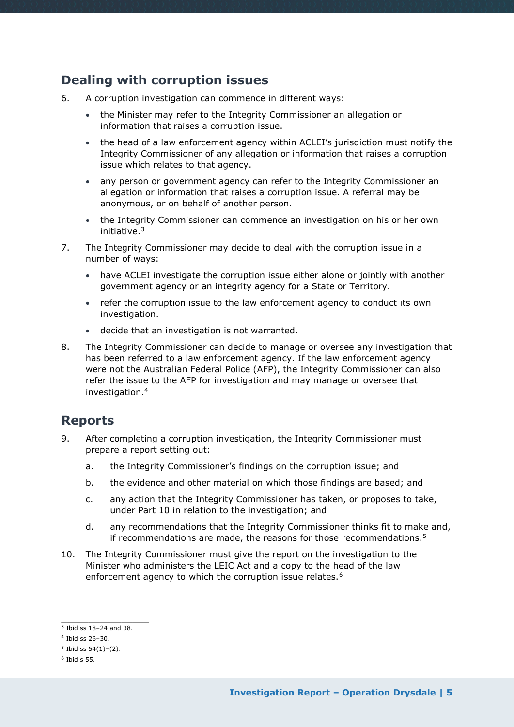# <span id="page-4-0"></span>**Dealing with corruption issues**

- 6. A corruption investigation can commence in different ways:
	- the Minister may refer to the Integrity Commissioner an allegation or information that raises a corruption issue.
	- the head of a law enforcement agency within ACLEI's jurisdiction must notify the Integrity Commissioner of any allegation or information that raises a corruption issue which relates to that agency.
	- any person or government agency can refer to the Integrity Commissioner an allegation or information that raises a corruption issue. A referral may be anonymous, or on behalf of another person.
	- the Integrity Commissioner can commence an investigation on his or her own initiative.[3](#page-4-2)
- 7. The Integrity Commissioner may decide to deal with the corruption issue in a number of ways:
	- have ACLEI investigate the corruption issue either alone or jointly with another government agency or an integrity agency for a State or Territory.
	- refer the corruption issue to the law enforcement agency to conduct its own investigation.
	- decide that an investigation is not warranted.
- 8. The Integrity Commissioner can decide to manage or oversee any investigation that has been referred to a law enforcement agency. If the law enforcement agency were not the Australian Federal Police (AFP), the Integrity Commissioner can also refer the issue to the AFP for investigation and may manage or oversee that investigation.[4](#page-4-3)

# <span id="page-4-1"></span>**Reports**

- 9. After completing a corruption investigation, the Integrity Commissioner must prepare a report setting out:
	- a. the Integrity Commissioner's findings on the corruption issue; and
	- b. the evidence and other material on which those findings are based; and
	- c. any action that the Integrity Commissioner has taken, or proposes to take, under Part 10 in relation to the investigation; and
	- d. any recommendations that the Integrity Commissioner thinks fit to make and, if recommendations are made, the reasons for those recommendations.<sup>[5](#page-4-4)</sup>
- 10. The Integrity Commissioner must give the report on the investigation to the Minister who administers the LEIC Act and a copy to the head of the law enforcement agency to which the corruption issue relates.<sup>[6](#page-4-5)</sup>

 $\overline{\phantom{a}}$  , where the contract of the contract of the contract of the contract of the contract of the contract of the contract of the contract of the contract of the contract of the contract of the contract of the contr

<span id="page-4-2"></span> $3$  Ibid ss 18-24 and 38.

<span id="page-4-3"></span> $4$  Ibid ss  $26 - 30$ .

<span id="page-4-4"></span> $5$  Ibid ss  $54(1)-(2)$ .

<span id="page-4-5"></span> $6$  Ibid s 55.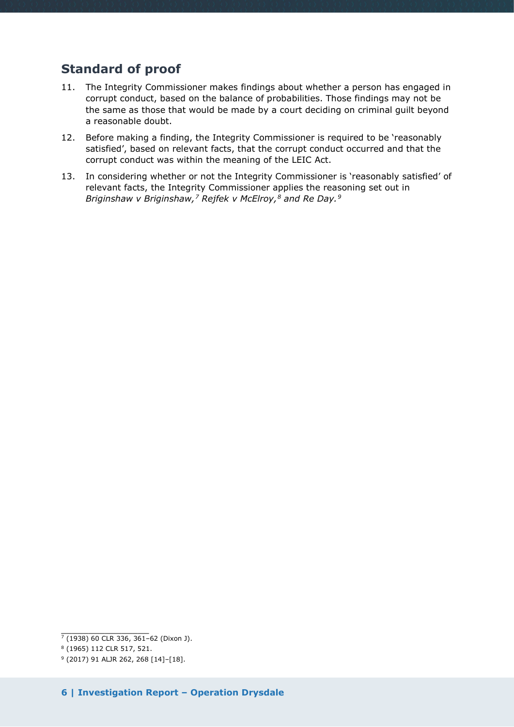# <span id="page-5-0"></span>**Standard of proof**

- 11. The Integrity Commissioner makes findings about whether a person has engaged in corrupt conduct, based on the balance of probabilities. Those findings may not be the same as those that would be made by a court deciding on criminal guilt beyond a reasonable doubt.
- 12. Before making a finding, the Integrity Commissioner is required to be 'reasonably satisfied', based on relevant facts, that the corrupt conduct occurred and that the corrupt conduct was within the meaning of the LEIC Act.
- 13. In considering whether or not the Integrity Commissioner is 'reasonably satisfied' of relevant facts, the Integrity Commissioner applies the reasoning set out in *Briginshaw v Briginshaw,[7](#page-5-1) Rejfek v McElroy,[8](#page-5-2) and Re Day.[9](#page-5-3)*

<span id="page-5-1"></span> $\overline{\phantom{a}}$  , where the contract of the contract of the contract of the contract of the contract of the contract of the contract of the contract of the contract of the contract of the contract of the contract of the contr  $7$  (1938) 60 CLR 336, 361-62 (Dixon J).

<sup>8</sup> (1965) 112 CLR 517, 521.

<span id="page-5-3"></span><span id="page-5-2"></span><sup>9</sup> (2017) 91 ALJR 262, 268 [14]–[18].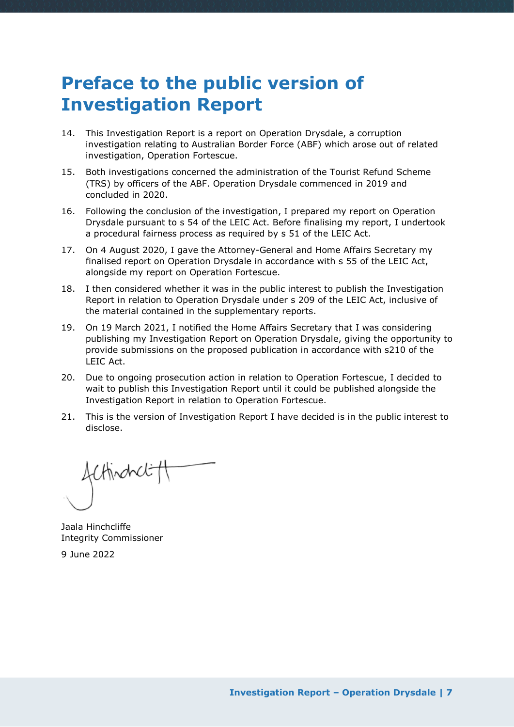# <span id="page-6-0"></span>**Preface to the public version of Investigation Report**

- 14. This Investigation Report is a report on Operation Drysdale, a corruption investigation relating to Australian Border Force (ABF) which arose out of related investigation, Operation Fortescue.
- 15. Both investigations concerned the administration of the Tourist Refund Scheme (TRS) by officers of the ABF. Operation Drysdale commenced in 2019 and concluded in 2020.
- 16. Following the conclusion of the investigation, I prepared my report on Operation Drysdale pursuant to s 54 of the LEIC Act. Before finalising my report, I undertook a procedural fairness process as required by s 51 of the LEIC Act.
- 17. On 4 August 2020, I gave the Attorney-General and Home Affairs Secretary my finalised report on Operation Drysdale in accordance with s 55 of the LEIC Act, alongside my report on Operation Fortescue.
- 18. I then considered whether it was in the public interest to publish the Investigation Report in relation to Operation Drysdale under s 209 of the LEIC Act, inclusive of the material contained in the supplementary reports.
- 19. On 19 March 2021, I notified the Home Affairs Secretary that I was considering publishing my Investigation Report on Operation Drysdale, giving the opportunity to provide submissions on the proposed publication in accordance with s210 of the LEIC Act.
- 20. Due to ongoing prosecution action in relation to Operation Fortescue, I decided to wait to publish this Investigation Report until it could be published alongside the Investigation Report in relation to Operation Fortescue.
- 21. This is the version of Investigation Report I have decided is in the public interest to disclose.

fcthindrct

Jaala Hinchcliffe Integrity Commissioner 9 June 2022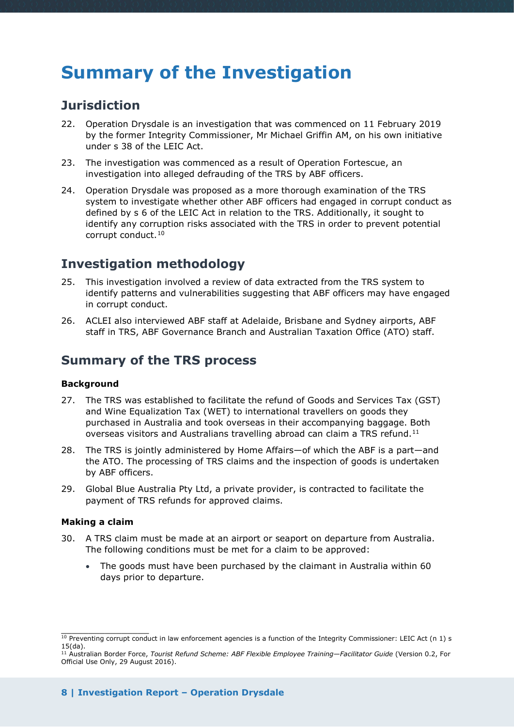# <span id="page-7-0"></span>**Summary of the Investigation**

### <span id="page-7-1"></span>**Jurisdiction**

- 22. Operation Drysdale is an investigation that was commenced on 11 February 2019 by the former Integrity Commissioner, Mr Michael Griffin AM, on his own initiative under s 38 of the LEIC Act.
- 23. The investigation was commenced as a result of Operation Fortescue, an investigation into alleged defrauding of the TRS by ABF officers.
- 24. Operation Drysdale was proposed as a more thorough examination of the TRS system to investigate whether other ABF officers had engaged in corrupt conduct as defined by s 6 of the LEIC Act in relation to the TRS. Additionally, it sought to identify any corruption risks associated with the TRS in order to prevent potential corrupt conduct.[10](#page-7-6)

# <span id="page-7-2"></span>**Investigation methodology**

- 25. This investigation involved a review of data extracted from the TRS system to identify patterns and vulnerabilities suggesting that ABF officers may have engaged in corrupt conduct.
- 26. ACLEI also interviewed ABF staff at Adelaide, Brisbane and Sydney airports, ABF staff in TRS, ABF Governance Branch and Australian Taxation Office (ATO) staff.

# <span id="page-7-3"></span>**Summary of the TRS process**

#### <span id="page-7-4"></span>**Background**

- 27. The TRS was established to facilitate the refund of Goods and Services Tax (GST) and Wine Equalization Tax (WET) to international travellers on goods they purchased in Australia and took overseas in their accompanying baggage. Both overseas visitors and Australians travelling abroad can claim a TRS refund.[11](#page-7-7)
- 28. The TRS is jointly administered by Home Affairs—of which the ABF is a part—and the ATO. The processing of TRS claims and the inspection of goods is undertaken by ABF officers.
- 29. Global Blue Australia Pty Ltd, a private provider, is contracted to facilitate the payment of TRS refunds for approved claims.

#### <span id="page-7-5"></span>**Making a claim**

- 30. A TRS claim must be made at an airport or seaport on departure from Australia. The following conditions must be met for a claim to be approved:
	- The goods must have been purchased by the claimant in Australia within 60 days prior to departure.

<span id="page-7-6"></span> $\overline{\phantom{a}}$  , where the contract of the contract of the contract of the contract of the contract of the contract of the contract of the contract of the contract of the contract of the contract of the contract of the contr  $10$  Preventing corrupt conduct in law enforcement agencies is a function of the Integrity Commissioner: LEIC Act (n 1) s 15(da).

<span id="page-7-7"></span><sup>11</sup> Australian Border Force, *Tourist Refund Scheme: ABF Flexible Employee Training—Facilitator Guide* (Version 0.2, For Official Use Only, 29 August 2016).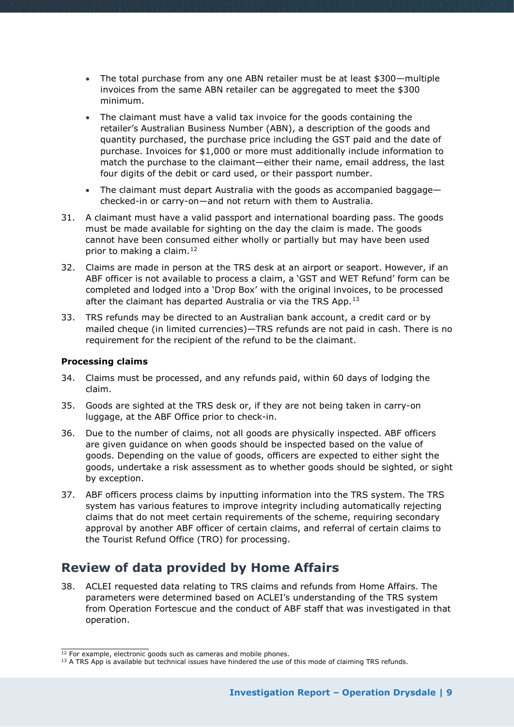- The total purchase from any one ABN retailer must be at least \$300—multiple invoices from the same ABN retailer can be aggregated to meet the \$300 minimum.
- The claimant must have a valid tax invoice for the goods containing the retailer's Australian Business Number (ABN), a description of the goods and quantity purchased, the purchase price including the GST paid and the date of purchase. Invoices for \$1,000 or more must additionally include information to match the purchase to the claimant—either their name, email address, the last four digits of the debit or card used, or their passport number.
- The claimant must depart Australia with the goods as accompanied baggage checked-in or carry-on—and not return with them to Australia.
- 31. A claimant must have a valid passport and international boarding pass. The goods must be made available for sighting on the day the claim is made. The goods cannot have been consumed either wholly or partially but may have been used prior to making a claim.<sup>[12](#page-8-2)</sup>
- 32. Claims are made in person at the TRS desk at an airport or seaport. However, if an ABF officer is not available to process a claim, a 'GST and WET Refund' form can be completed and lodged into a 'Drop Box' with the original invoices, to be processed after the claimant has departed Australia or via the TRS App.<sup>[13](#page-8-3)</sup>
- 33. TRS refunds may be directed to an Australian bank account, a credit card or by mailed cheque (in limited currencies)—TRS refunds are not paid in cash. There is no requirement for the recipient of the refund to be the claimant.

#### <span id="page-8-0"></span>**Processing claims**

- 34. Claims must be processed, and any refunds paid, within 60 days of lodging the claim.
- 35. Goods are sighted at the TRS desk or, if they are not being taken in carry-on luggage, at the ABF Office prior to check-in.
- 36. Due to the number of claims, not all goods are physically inspected. ABF officers are given guidance on when goods should be inspected based on the value of goods. Depending on the value of goods, officers are expected to either sight the goods, undertake a risk assessment as to whether goods should be sighted, or sight by exception.
- 37. ABF officers process claims by inputting information into the TRS system. The TRS system has various features to improve integrity including automatically rejecting claims that do not meet certain requirements of the scheme, requiring secondary approval by another ABF officer of certain claims, and referral of certain claims to the Tourist Refund Office (TRO) for processing.

# <span id="page-8-1"></span>**Review of data provided by Home Affairs**

38. ACLEI requested data relating to TRS claims and refunds from Home Affairs. The parameters were determined based on ACLEI's understanding of the TRS system from Operation Fortescue and the conduct of ABF staff that was investigated in that operation.

\_\_\_\_\_\_\_\_\_\_\_\_\_\_\_\_ <sup>12</sup> For example, electronic goods such as cameras and mobile phones.

<span id="page-8-3"></span><span id="page-8-2"></span><sup>&</sup>lt;sup>13</sup> A TRS App is available but technical issues have hindered the use of this mode of claiming TRS refunds.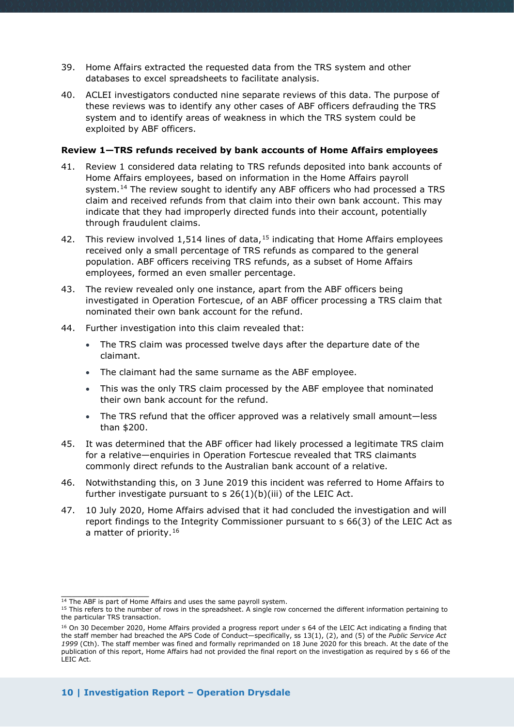- 39. Home Affairs extracted the requested data from the TRS system and other databases to excel spreadsheets to facilitate analysis.
- 40. ACLEI investigators conducted nine separate reviews of this data. The purpose of these reviews was to identify any other cases of ABF officers defrauding the TRS system and to identify areas of weakness in which the TRS system could be exploited by ABF officers.

#### <span id="page-9-0"></span>**Review 1—TRS refunds received by bank accounts of Home Affairs employees**

- 41. Review 1 considered data relating to TRS refunds deposited into bank accounts of Home Affairs employees, based on information in the Home Affairs payroll system.<sup>[14](#page-9-1)</sup> The review sought to identify any ABF officers who had processed a TRS claim and received refunds from that claim into their own bank account. This may indicate that they had improperly directed funds into their account, potentially through fraudulent claims.
- 42. This review involved 1,514 lines of data,  $15$  indicating that Home Affairs employees received only a small percentage of TRS refunds as compared to the general population. ABF officers receiving TRS refunds, as a subset of Home Affairs employees, formed an even smaller percentage.
- 43. The review revealed only one instance, apart from the ABF officers being investigated in Operation Fortescue, of an ABF officer processing a TRS claim that nominated their own bank account for the refund.
- 44. Further investigation into this claim revealed that:
	- The TRS claim was processed twelve days after the departure date of the claimant.
	- The claimant had the same surname as the ABF employee.
	- This was the only TRS claim processed by the ABF employee that nominated their own bank account for the refund.
	- The TRS refund that the officer approved was a relatively small amount—less than \$200.
- 45. It was determined that the ABF officer had likely processed a legitimate TRS claim for a relative—enquiries in Operation Fortescue revealed that TRS claimants commonly direct refunds to the Australian bank account of a relative.
- 46. Notwithstanding this, on 3 June 2019 this incident was referred to Home Affairs to further investigate pursuant to  $s$  26(1)(b)(iii) of the LEIC Act.
- 47. 10 July 2020, Home Affairs advised that it had concluded the investigation and will report findings to the Integrity Commissioner pursuant to s 66(3) of the LEIC Act as a matter of priority.<sup>[16](#page-9-3)</sup>

\_\_\_\_\_\_\_\_\_\_\_\_\_\_\_\_ <sup>14</sup> The ABF is part of Home Affairs and uses the same payroll system.

<span id="page-9-2"></span><span id="page-9-1"></span><sup>15</sup> This refers to the number of rows in the spreadsheet. A single row concerned the different information pertaining to the particular TRS transaction.

<span id="page-9-3"></span><sup>&</sup>lt;sup>16</sup> On 30 December 2020, Home Affairs provided a progress report under s 64 of the LEIC Act indicating a finding that the staff member had breached the APS Code of Conduct—specifically, ss 13(1), (2), and (5) of the *Public Service Act 1999* (Cth). The staff member was fined and formally reprimanded on 18 June 2020 for this breach. At the date of the publication of this report, Home Affairs had not provided the final report on the investigation as required by s 66 of the  $I$  FIC  $\Delta$ ct.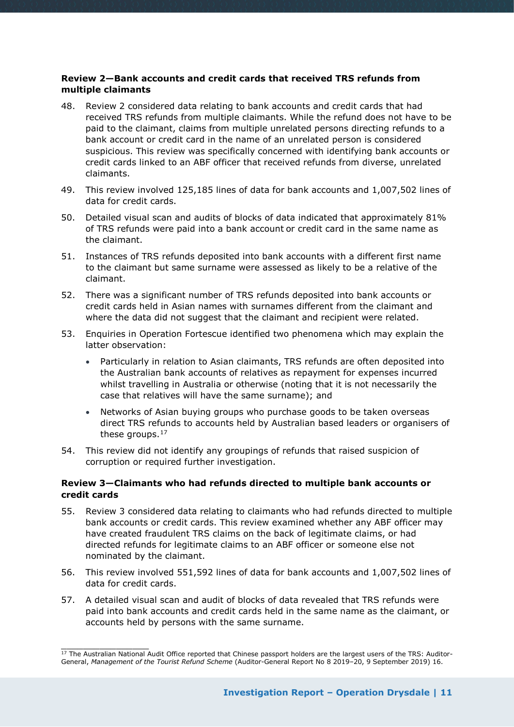#### <span id="page-10-0"></span>**Review 2—Bank accounts and credit cards that received TRS refunds from multiple claimants**

- 48. Review 2 considered data relating to bank accounts and credit cards that had received TRS refunds from multiple claimants. While the refund does not have to be paid to the claimant, claims from multiple unrelated persons directing refunds to a bank account or credit card in the name of an unrelated person is considered suspicious. This review was specifically concerned with identifying bank accounts or credit cards linked to an ABF officer that received refunds from diverse, unrelated claimants.
- 49. This review involved 125,185 lines of data for bank accounts and 1,007,502 lines of data for credit cards.
- 50. Detailed visual scan and audits of blocks of data indicated that approximately 81% of TRS refunds were paid into a bank account or credit card in the same name as the claimant.
- 51. Instances of TRS refunds deposited into bank accounts with a different first name to the claimant but same surname were assessed as likely to be a relative of the claimant.
- 52. There was a significant number of TRS refunds deposited into bank accounts or credit cards held in Asian names with surnames different from the claimant and where the data did not suggest that the claimant and recipient were related.
- 53. Enquiries in Operation Fortescue identified two phenomena which may explain the latter observation:
	- Particularly in relation to Asian claimants, TRS refunds are often deposited into the Australian bank accounts of relatives as repayment for expenses incurred whilst travelling in Australia or otherwise (noting that it is not necessarily the case that relatives will have the same surname); and
	- Networks of Asian buying groups who purchase goods to be taken overseas direct TRS refunds to accounts held by Australian based leaders or organisers of these groups.<sup>[17](#page-10-2)</sup>
- 54. This review did not identify any groupings of refunds that raised suspicion of corruption or required further investigation.

#### <span id="page-10-1"></span>**Review 3—Claimants who had refunds directed to multiple bank accounts or credit cards**

- 55. Review 3 considered data relating to claimants who had refunds directed to multiple bank accounts or credit cards. This review examined whether any ABF officer may have created fraudulent TRS claims on the back of legitimate claims, or had directed refunds for legitimate claims to an ABF officer or someone else not nominated by the claimant.
- 56. This review involved 551,592 lines of data for bank accounts and 1,007,502 lines of data for credit cards.
- 57. A detailed visual scan and audit of blocks of data revealed that TRS refunds were paid into bank accounts and credit cards held in the same name as the claimant, or accounts held by persons with the same surname.

\_\_\_\_\_\_\_\_\_\_\_\_\_\_\_\_

<span id="page-10-2"></span><sup>&</sup>lt;sup>17</sup> The Australian National Audit Office reported that Chinese passport holders are the largest users of the TRS: Auditor-General, *Management of the Tourist Refund Scheme* (Auditor-General Report No 8 2019–20, 9 September 2019) 16.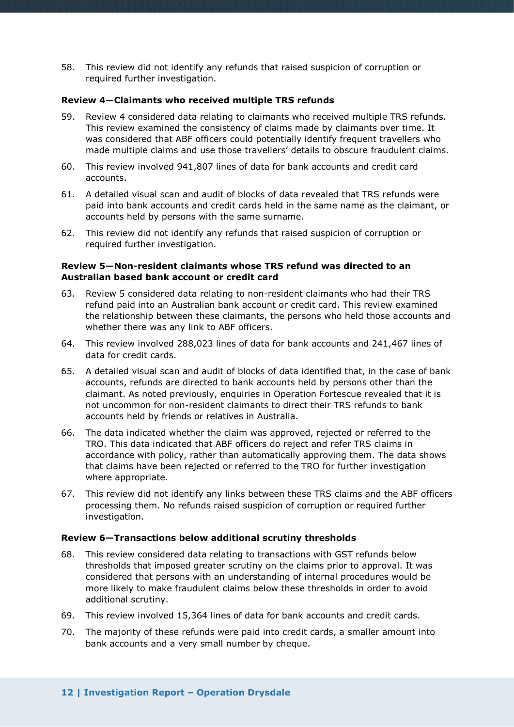58. This review did not identify any refunds that raised suspicion of corruption or required further investigation.

#### <span id="page-11-0"></span>**Review 4—Claimants who received multiple TRS refunds**

- 59. Review 4 considered data relating to claimants who received multiple TRS refunds. This review examined the consistency of claims made by claimants over time. It was considered that ABF officers could potentially identify frequent travellers who made multiple claims and use those travellers' details to obscure fraudulent claims.
- 60. This review involved 941,807 lines of data for bank accounts and credit card accounts.
- 61. A detailed visual scan and audit of blocks of data revealed that TRS refunds were paid into bank accounts and credit cards held in the same name as the claimant, or accounts held by persons with the same surname.
- 62. This review did not identify any refunds that raised suspicion of corruption or required further investigation.

#### <span id="page-11-1"></span>**Review 5—Non-resident claimants whose TRS refund was directed to an Australian based bank account or credit card**

- 63. Review 5 considered data relating to non-resident claimants who had their TRS refund paid into an Australian bank account or credit card. This review examined the relationship between these claimants, the persons who held those accounts and whether there was any link to ABF officers.
- 64. This review involved 288,023 lines of data for bank accounts and 241,467 lines of data for credit cards.
- 65. A detailed visual scan and audit of blocks of data identified that, in the case of bank accounts, refunds are directed to bank accounts held by persons other than the claimant. As noted previously, enquiries in Operation Fortescue revealed that it is not uncommon for non-resident claimants to direct their TRS refunds to bank accounts held by friends or relatives in Australia.
- 66. The data indicated whether the claim was approved, rejected or referred to the TRO. This data indicated that ABF officers do reject and refer TRS claims in accordance with policy, rather than automatically approving them. The data shows that claims have been rejected or referred to the TRO for further investigation where appropriate.
- 67. This review did not identify any links between these TRS claims and the ABF officers processing them. No refunds raised suspicion of corruption or required further investigation.

#### <span id="page-11-2"></span>**Review 6—Transactions below additional scrutiny thresholds**

- 68. This review considered data relating to transactions with GST refunds below thresholds that imposed greater scrutiny on the claims prior to approval. It was considered that persons with an understanding of internal procedures would be more likely to make fraudulent claims below these thresholds in order to avoid additional scrutiny.
- 69. This review involved 15,364 lines of data for bank accounts and credit cards.
- 70. The majority of these refunds were paid into credit cards, a smaller amount into bank accounts and a very small number by cheque.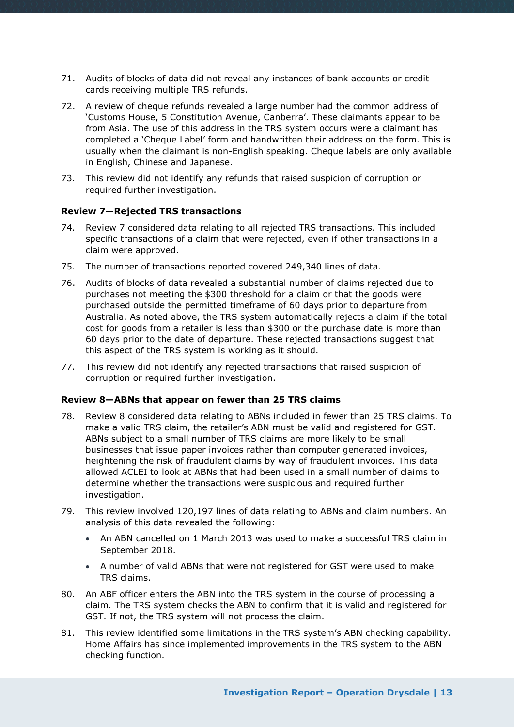- 71. Audits of blocks of data did not reveal any instances of bank accounts or credit cards receiving multiple TRS refunds.
- 72. A review of cheque refunds revealed a large number had the common address of 'Customs House, 5 Constitution Avenue, Canberra'. These claimants appear to be from Asia. The use of this address in the TRS system occurs were a claimant has completed a 'Cheque Label' form and handwritten their address on the form. This is usually when the claimant is non-English speaking. Cheque labels are only available in English, Chinese and Japanese.
- 73. This review did not identify any refunds that raised suspicion of corruption or required further investigation.

#### <span id="page-12-0"></span>**Review 7—Rejected TRS transactions**

- 74. Review 7 considered data relating to all rejected TRS transactions. This included specific transactions of a claim that were rejected, even if other transactions in a claim were approved.
- 75. The number of transactions reported covered 249,340 lines of data.
- 76. Audits of blocks of data revealed a substantial number of claims rejected due to purchases not meeting the \$300 threshold for a claim or that the goods were purchased outside the permitted timeframe of 60 days prior to departure from Australia. As noted above, the TRS system automatically rejects a claim if the total cost for goods from a retailer is less than \$300 or the purchase date is more than 60 days prior to the date of departure. These rejected transactions suggest that this aspect of the TRS system is working as it should.
- 77. This review did not identify any rejected transactions that raised suspicion of corruption or required further investigation.

#### <span id="page-12-1"></span>**Review 8—ABNs that appear on fewer than 25 TRS claims**

- 78. Review 8 considered data relating to ABNs included in fewer than 25 TRS claims. To make a valid TRS claim, the retailer's ABN must be valid and registered for GST. ABNs subject to a small number of TRS claims are more likely to be small businesses that issue paper invoices rather than computer generated invoices, heightening the risk of fraudulent claims by way of fraudulent invoices. This data allowed ACLEI to look at ABNs that had been used in a small number of claims to determine whether the transactions were suspicious and required further investigation.
- 79. This review involved 120,197 lines of data relating to ABNs and claim numbers. An analysis of this data revealed the following:
	- An ABN cancelled on 1 March 2013 was used to make a successful TRS claim in September 2018.
	- A number of valid ABNs that were not registered for GST were used to make TRS claims.
- 80. An ABF officer enters the ABN into the TRS system in the course of processing a claim. The TRS system checks the ABN to confirm that it is valid and registered for GST. If not, the TRS system will not process the claim.
- 81. This review identified some limitations in the TRS system's ABN checking capability. Home Affairs has since implemented improvements in the TRS system to the ABN checking function.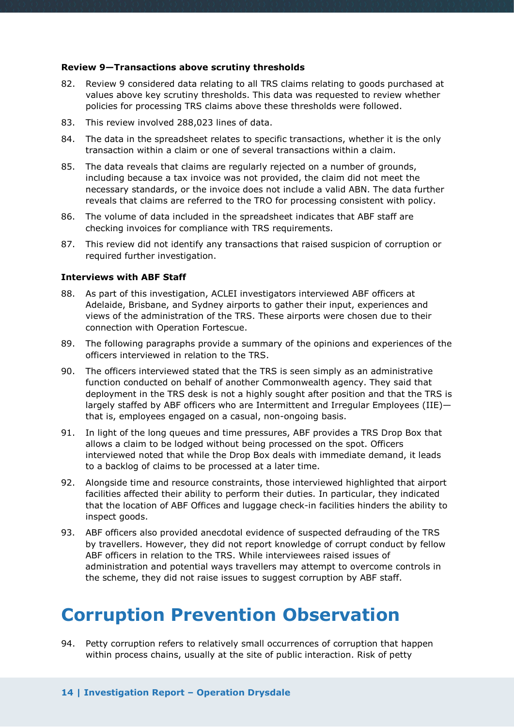#### <span id="page-13-0"></span>**Review 9—Transactions above scrutiny thresholds**

- 82. Review 9 considered data relating to all TRS claims relating to goods purchased at values above key scrutiny thresholds. This data was requested to review whether policies for processing TRS claims above these thresholds were followed.
- 83. This review involved 288,023 lines of data.
- 84. The data in the spreadsheet relates to specific transactions, whether it is the only transaction within a claim or one of several transactions within a claim.
- 85. The data reveals that claims are regularly rejected on a number of grounds, including because a tax invoice was not provided, the claim did not meet the necessary standards, or the invoice does not include a valid ABN. The data further reveals that claims are referred to the TRO for processing consistent with policy.
- 86. The volume of data included in the spreadsheet indicates that ABF staff are checking invoices for compliance with TRS requirements.
- 87. This review did not identify any transactions that raised suspicion of corruption or required further investigation.

#### <span id="page-13-1"></span>**Interviews with ABF Staff**

- 88. As part of this investigation, ACLEI investigators interviewed ABF officers at Adelaide, Brisbane, and Sydney airports to gather their input, experiences and views of the administration of the TRS. These airports were chosen due to their connection with Operation Fortescue.
- 89. The following paragraphs provide a summary of the opinions and experiences of the officers interviewed in relation to the TRS.
- 90. The officers interviewed stated that the TRS is seen simply as an administrative function conducted on behalf of another Commonwealth agency. They said that deployment in the TRS desk is not a highly sought after position and that the TRS is largely staffed by ABF officers who are Intermittent and Irregular Employees (IIE) that is, employees engaged on a casual, non-ongoing basis.
- 91. In light of the long queues and time pressures, ABF provides a TRS Drop Box that allows a claim to be lodged without being processed on the spot. Officers interviewed noted that while the Drop Box deals with immediate demand, it leads to a backlog of claims to be processed at a later time.
- 92. Alongside time and resource constraints, those interviewed highlighted that airport facilities affected their ability to perform their duties. In particular, they indicated that the location of ABF Offices and luggage check-in facilities hinders the ability to inspect goods.
- 93. ABF officers also provided anecdotal evidence of suspected defrauding of the TRS by travellers. However, they did not report knowledge of corrupt conduct by fellow ABF officers in relation to the TRS. While interviewees raised issues of administration and potential ways travellers may attempt to overcome controls in the scheme, they did not raise issues to suggest corruption by ABF staff.

# <span id="page-13-2"></span>**Corruption Prevention Observation**

94. Petty corruption refers to relatively small occurrences of corruption that happen within process chains, usually at the site of public interaction. Risk of petty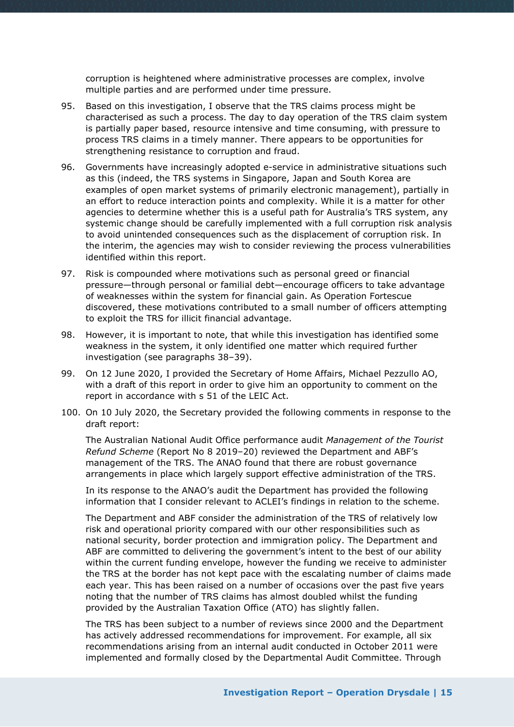corruption is heightened where administrative processes are complex, involve multiple parties and are performed under time pressure.

- 95. Based on this investigation, I observe that the TRS claims process might be characterised as such a process. The day to day operation of the TRS claim system is partially paper based, resource intensive and time consuming, with pressure to process TRS claims in a timely manner. There appears to be opportunities for strengthening resistance to corruption and fraud.
- 96. Governments have increasingly adopted e-service in administrative situations such as this (indeed, the TRS systems in Singapore, Japan and South Korea are examples of open market systems of primarily electronic management), partially in an effort to reduce interaction points and complexity. While it is a matter for other agencies to determine whether this is a useful path for Australia's TRS system, any systemic change should be carefully implemented with a full corruption risk analysis to avoid unintended consequences such as the displacement of corruption risk. In the interim, the agencies may wish to consider reviewing the process vulnerabilities identified within this report.
- 97. Risk is compounded where motivations such as personal greed or financial pressure—through personal or familial debt—encourage officers to take advantage of weaknesses within the system for financial gain. As Operation Fortescue discovered, these motivations contributed to a small number of officers attempting to exploit the TRS for illicit financial advantage.
- 98. However, it is important to note, that while this investigation has identified some weakness in the system, it only identified one matter which required further investigation (see paragraphs 38–39).
- 99. On 12 June 2020, I provided the Secretary of Home Affairs, Michael Pezzullo AO, with a draft of this report in order to give him an opportunity to comment on the report in accordance with s 51 of the LEIC Act.
- 100. On 10 July 2020, the Secretary provided the following comments in response to the draft report:

The Australian National Audit Office performance audit *Management of the Tourist Refund Scheme* (Report No 8 2019–20) reviewed the Department and ABF's management of the TRS. The ANAO found that there are robust governance arrangements in place which largely support effective administration of the TRS.

In its response to the ANAO's audit the Department has provided the following information that I consider relevant to ACLEI's findings in relation to the scheme.

The Department and ABF consider the administration of the TRS of relatively low risk and operational priority compared with our other responsibilities such as national security, border protection and immigration policy. The Department and ABF are committed to delivering the government's intent to the best of our ability within the current funding envelope, however the funding we receive to administer the TRS at the border has not kept pace with the escalating number of claims made each year. This has been raised on a number of occasions over the past five years noting that the number of TRS claims has almost doubled whilst the funding provided by the Australian Taxation Office (ATO) has slightly fallen.

The TRS has been subject to a number of reviews since 2000 and the Department has actively addressed recommendations for improvement. For example, all six recommendations arising from an internal audit conducted in October 2011 were implemented and formally closed by the Departmental Audit Committee. Through